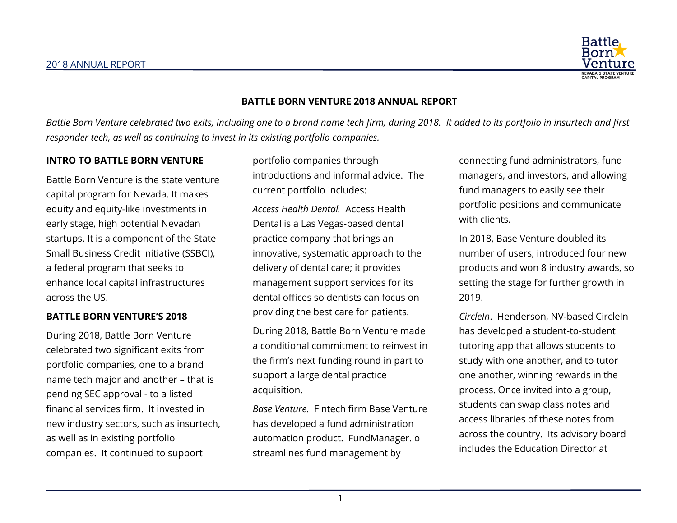

### **BATTLE BORN VENTURE 2018 ANNUAL REPORT**

*Battle Born Venture celebrated two exits, including one to a brand name tech firm, during 2018. It added to its portfolio in insurtech and first responder tech, as well as continuing to invest in its existing portfolio companies.*

### **INTRO TO BATTLE BORN VENTURE**

Battle Born Venture is the state venture capital program for Nevada. It makes equity and equity-like investments in early stage, high potential Nevadan startups. It is a component of the State Small Business Credit Initiative (SSBCI), a federal program that seeks to enhance local capital infrastructures across the US.

#### **BATTLE BORN VENTURE'S 2018**

During 2018, Battle Born Venture celebrated two significant exits from portfolio companies, one to a brand name tech major and another – that is pending SEC approval - to a listed financial services firm. It invested in new industry sectors, such as insurtech, as well as in existing portfolio companies. It continued to support

portfolio companies through introductions and informal advice. The current portfolio includes:

*Access Health Dental.* Access Health Dental is a Las Vegas-based dental practice company that brings an innovative, systematic approach to the delivery of dental care; it provides management support services for its dental offices so dentists can focus on providing the best care for patients.

During 2018, Battle Born Venture made a conditional commitment to reinvest in the firm's next funding round in part to support a large dental practice acquisition.

*Base Venture.* Fintech firm Base Venture has developed a fund administration automation product. FundManager.io streamlines fund management by

connecting fund administrators, fund managers, and investors, and allowing fund managers to easily see their portfolio positions and communicate with clients.

In 2018, Base Venture doubled its number of users, introduced four new products and won 8 industry awards, so setting the stage for further growth in 2019.

*CircleIn*. Henderson, NV-based CircleIn has developed a student-to-student tutoring app that allows students to study with one another, and to tutor one another, winning rewards in the process. Once invited into a group, students can swap class notes and access libraries of these notes from across the country. Its advisory board includes the Education Director at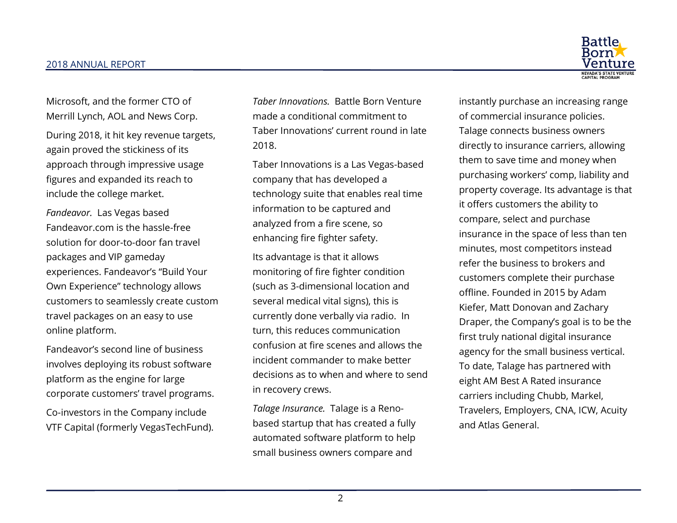

Microsoft, and the former CTO of Merrill Lynch, AOL and News Corp.

During 2018, it hit key revenue targets, again proved the stickiness of its approach through impressive usage figures and expanded its reach to include the college market.

*Fandeavor.* Las Vegas based Fandeavor.com is the hassle-free solution for door-to-door fan travel packages and VIP gameday experiences. Fandeavor's "Build Your Own Experience" technology allows customers to seamlessly create custom travel packages on an easy to use online platform.

Fandeavor's second line of business involves deploying its robust software platform as the engine for large corporate customers' travel programs.

Co-investors in the Company include VTF Capital (formerly VegasTechFund).

*Taber Innovations.* Battle Born Venture made a conditional commitment to Taber Innovations' current round in late 2018.

Taber Innovations is a Las Vegas-based company that has developed a technology suite that enables real time information to be captured and analyzed from a fire scene, so enhancing fire fighter safety.

Its advantage is that it allows monitoring of fire fighter condition (such as 3-dimensional location and several medical vital signs), this is currently done verbally via radio. In turn, this reduces communication confusion at fire scenes and allows the incident commander to make better decisions as to when and where to send in recovery crews.

*Talage Insurance.* Talage is a Renobased startup that has created a fully automated software platform to help small business owners compare and

instantly purchase an increasing range of commercial insurance policies. Talage connects business owners directly to insurance carriers, allowing them to save time and money when purchasing workers' comp, liability and property coverage. Its advantage is that it offers customers the ability to compare, select and purchase insurance in the space of less than ten minutes, most competitors instead refer the business to brokers and customers complete their purchase offline. Founded in 2015 by Adam Kiefer, Matt Donovan and Zachary Draper, the Company's goal is to be the first truly national digital insurance agency for the small business vertical. To date, Talage has partnered with eight AM Best A Rated insurance carriers including Chubb, Markel, Travelers, Employers, CNA, ICW, Acuity and Atlas General.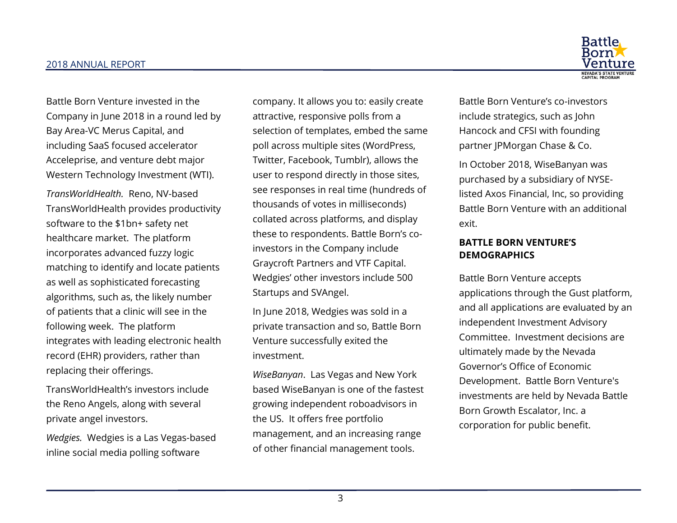

Battle Born Venture invested in the Company in June 2018 in a round led by Bay Area-VC Merus Capital, and including SaaS focused accelerator Acceleprise, and venture debt major Western Technology Investment (WTI).

*TransWorldHealth.* Reno, NV-based TransWorldHealth provides productivity software to the \$1bn+ safety net healthcare market. The platform incorporates advanced fuzzy logic matching to identify and locate patients as well as sophisticated forecasting algorithms, such as, the likely number of patients that a clinic will see in the following week. The platform integrates with leading electronic health record (EHR) providers, rather than replacing their offerings.

TransWorldHealth's investors include the Reno Angels, along with several private angel investors.

*Wedgies.* Wedgies is a Las Vegas-based inline social media polling software

company. It allows you to: easily create attractive, responsive polls from a selection of templates, embed the same poll across multiple sites (WordPress, Twitter, Facebook, Tumblr), allows the user to respond directly in those sites, see responses in real time (hundreds of thousands of votes in milliseconds) collated across platforms, and display these to respondents. Battle Born's coinvestors in the Company include Graycroft Partners and VTF Capital. Wedgies' other investors include 500 Startups and SVAngel.

In June 2018, Wedgies was sold in a private transaction and so, Battle Born Venture successfully exited the investment.

*WiseBanyan*. Las Vegas and New York based WiseBanyan is one of the fastest growing independent roboadvisors in the US. It offers free portfolio management, and an increasing range of other financial management tools.

Battle Born Venture's co-investors include strategics, such as John Hancock and CFSI with founding partner JPMorgan Chase & Co.

In October 2018, WiseBanyan was purchased by a subsidiary of NYSElisted Axos Financial, Inc, so providing Battle Born Venture with an additional exit.

# **BATTLE BORN VENTURE'S DEMOGRAPHICS**

Battle Born Venture accepts applications through the Gust platform, and all applications are evaluated by an independent Investment Advisory Committee. Investment decisions are ultimately made by the Nevada Governor's Office of Economic Development. Battle Born Venture's investments are held by Nevada Battle Born Growth Escalator, Inc. a corporation for public benefit.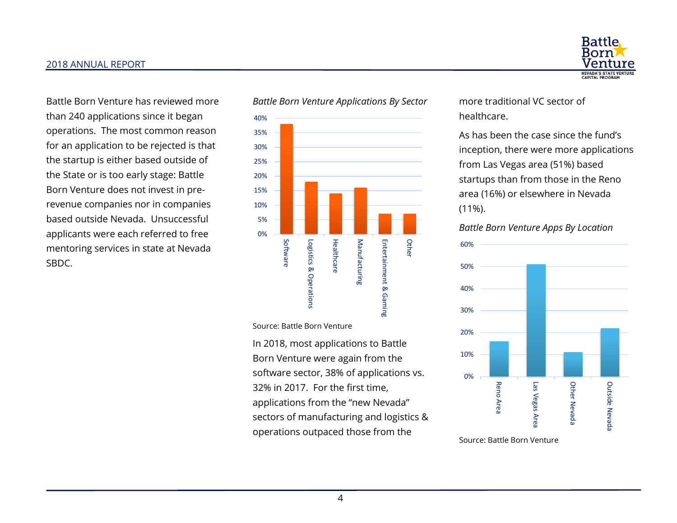#### 2018 ANNUAL REPORT

Battle Born Venture has reviewed more than 240 applications since it began operations. The most common reason for an application to be rejected is that the startup is either based outside of the State or is too early stage: Battle Born Venture does not invest in prerevenue companies nor in companies based outside Nevada. Unsuccessful applicants were each referred to free mentoring services in state at Nevada SBDC.



Source: Battle Born Venture

In 2018, most applications to Battle Born Venture were again from the software sector, 38% of applications vs. 32% in 2017. For the first time, applications from the "new Nevada" sectors of manufacturing and logistics & operations outpaced those from the



more traditional VC sector of healthcare.

As has been the case since the fund's inception, there were more applications from Las Vegas area (51%) based startups than from those in the Reno area (16%) or elsewhere in Nevada (11%).

#### *Battle Born Venture Apps By Location*



Source: Battle Born Venture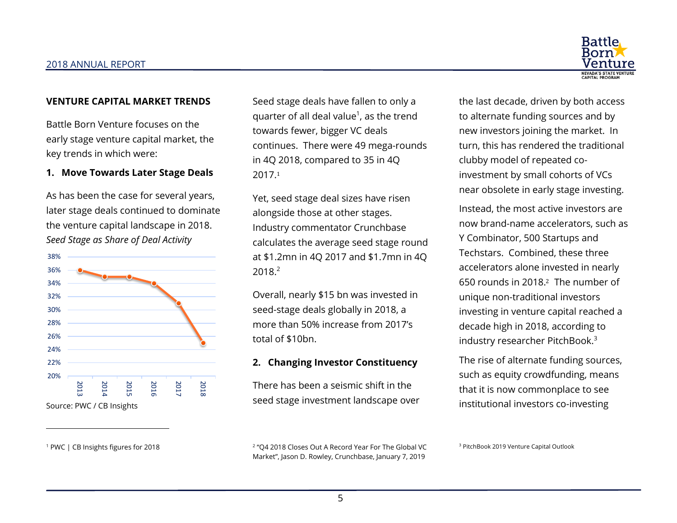

#### **VENTURE CAPITAL MARKET TRENDS**

Battle Born Venture focuses on the early stage venture capital market, the key trends in which were:

#### **1. Move Towards Later Stage Deals**

As has been the case for several years, later stage deals continued to dominate the venture capital landscape in 2018. *Seed Stage as Share of Deal Activity*



Source: PWC / CB Insights

 $\overline{\phantom{0}}$ 

<sup>1</sup> PWC | CB Insights figures for 2018

<span id="page-4-0"></span>Seed stage deals have fallen to only a quarter of all deal value<sup>1</sup>, as the trend towards fewer, bigger VC deals continues. There were 49 mega-rounds in 4Q 2018, compared to 35 in 4Q 2017[.](#page-4-0)<sup>1</sup>

Yet, seed stage deal sizes have risen alongside those at other stages. Industry commentator Crunchbase calculates the average seed stage round at \$1.2mn in 4Q 2017 and \$1.7mn in 4Q 2018.2

<span id="page-4-1"></span>Overall, nearly \$15 bn was invested in seed-stage deals globally in 2018, a more than 50% increase from 2017's total of \$10bn.

## **2. Changing Investor Constituency**

There has been a seismic shift in the seed stage investment landscape over the last decade, driven by both access to alternate funding sources and by new investors joining the market. In turn, this has rendered the traditional clubby model of repeated coinvestment by small cohorts of VCs near obsolete in early stage investing.

Instead, the most active investors are now brand-name accelerators, such as Y Combinator, 500 Startups and Techstars. Combined, these three accelerators alone invested in nearly 650 rounds in 2018[.](#page-4-1)2 The number of unique non-traditional investors investing in venture capital reached a decade high in 2018, according to industry researcher PitchBook.<sup>3</sup>

The rise of alternate funding sources, such as equity crowdfunding, means that it is now commonplace to see institutional investors co-investing

2 "Q4 2018 Closes Out A Record Year For The Global VC Market", Jason D. Rowley, Crunchbase, January 7, 2019

<sup>3</sup> PitchBook 2019 Venture Capital Outlook